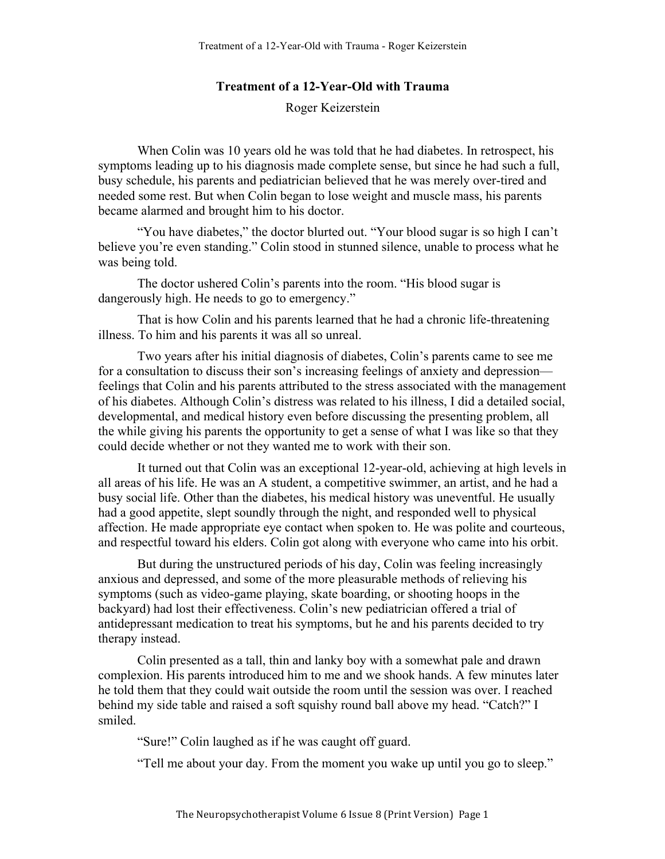### **Treatment of a 12-Year-Old with Trauma**

Roger Keizerstein

When Colin was 10 years old he was told that he had diabetes. In retrospect, his symptoms leading up to his diagnosis made complete sense, but since he had such a full, busy schedule, his parents and pediatrician believed that he was merely over-tired and needed some rest. But when Colin began to lose weight and muscle mass, his parents became alarmed and brought him to his doctor.

"You have diabetes," the doctor blurted out. "Your blood sugar is so high I can't believe you're even standing." Colin stood in stunned silence, unable to process what he was being told.

The doctor ushered Colin's parents into the room. "His blood sugar is dangerously high. He needs to go to emergency."

That is how Colin and his parents learned that he had a chronic life-threatening illness. To him and his parents it was all so unreal.

Two years after his initial diagnosis of diabetes, Colin's parents came to see me for a consultation to discuss their son's increasing feelings of anxiety and depression feelings that Colin and his parents attributed to the stress associated with the management of his diabetes. Although Colin's distress was related to his illness, I did a detailed social, developmental, and medical history even before discussing the presenting problem, all the while giving his parents the opportunity to get a sense of what I was like so that they could decide whether or not they wanted me to work with their son.

It turned out that Colin was an exceptional 12-year-old, achieving at high levels in all areas of his life. He was an A student, a competitive swimmer, an artist, and he had a busy social life. Other than the diabetes, his medical history was uneventful. He usually had a good appetite, slept soundly through the night, and responded well to physical affection. He made appropriate eye contact when spoken to. He was polite and courteous, and respectful toward his elders. Colin got along with everyone who came into his orbit.

But during the unstructured periods of his day, Colin was feeling increasingly anxious and depressed, and some of the more pleasurable methods of relieving his symptoms (such as video-game playing, skate boarding, or shooting hoops in the backyard) had lost their effectiveness. Colin's new pediatrician offered a trial of antidepressant medication to treat his symptoms, but he and his parents decided to try therapy instead.

Colin presented as a tall, thin and lanky boy with a somewhat pale and drawn complexion. His parents introduced him to me and we shook hands. A few minutes later he told them that they could wait outside the room until the session was over. I reached behind my side table and raised a soft squishy round ball above my head. "Catch?" I smiled.

"Sure!" Colin laughed as if he was caught off guard.

"Tell me about your day. From the moment you wake up until you go to sleep."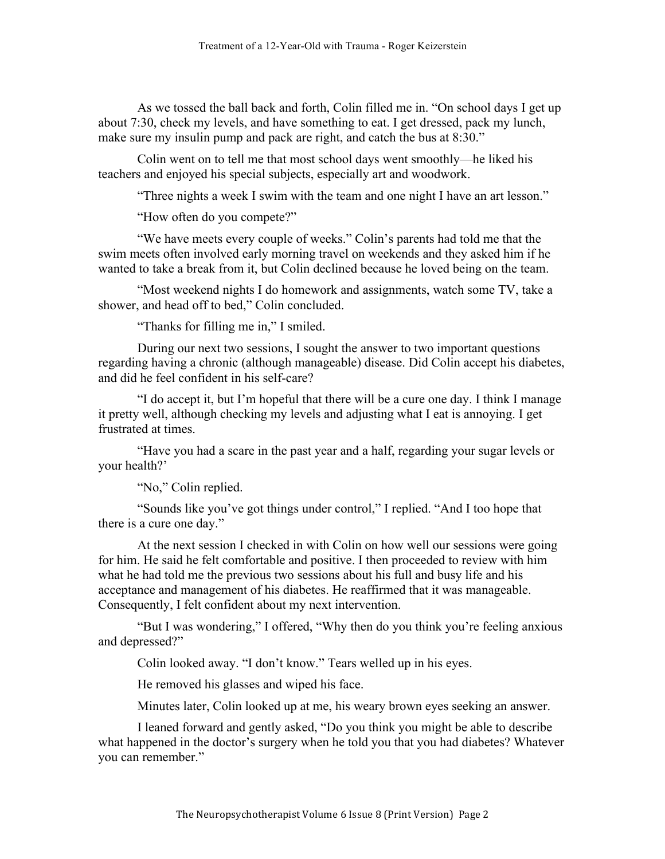As we tossed the ball back and forth, Colin filled me in. "On school days I get up about 7:30, check my levels, and have something to eat. I get dressed, pack my lunch, make sure my insulin pump and pack are right, and catch the bus at 8:30."

Colin went on to tell me that most school days went smoothly—he liked his teachers and enjoyed his special subjects, especially art and woodwork.

"Three nights a week I swim with the team and one night I have an art lesson."

"How often do you compete?"

"We have meets every couple of weeks." Colin's parents had told me that the swim meets often involved early morning travel on weekends and they asked him if he wanted to take a break from it, but Colin declined because he loved being on the team.

"Most weekend nights I do homework and assignments, watch some TV, take a shower, and head off to bed," Colin concluded.

"Thanks for filling me in," I smiled.

During our next two sessions, I sought the answer to two important questions regarding having a chronic (although manageable) disease. Did Colin accept his diabetes, and did he feel confident in his self-care?

"I do accept it, but I'm hopeful that there will be a cure one day. I think I manage it pretty well, although checking my levels and adjusting what I eat is annoying. I get frustrated at times.

"Have you had a scare in the past year and a half, regarding your sugar levels or your health?'

"No," Colin replied.

"Sounds like you've got things under control," I replied. "And I too hope that there is a cure one day."

At the next session I checked in with Colin on how well our sessions were going for him. He said he felt comfortable and positive. I then proceeded to review with him what he had told me the previous two sessions about his full and busy life and his acceptance and management of his diabetes. He reaffirmed that it was manageable. Consequently, I felt confident about my next intervention.

"But I was wondering," I offered, "Why then do you think you're feeling anxious and depressed?"

Colin looked away. "I don't know." Tears welled up in his eyes.

He removed his glasses and wiped his face.

Minutes later, Colin looked up at me, his weary brown eyes seeking an answer.

I leaned forward and gently asked, "Do you think you might be able to describe what happened in the doctor's surgery when he told you that you had diabetes? Whatever you can remember."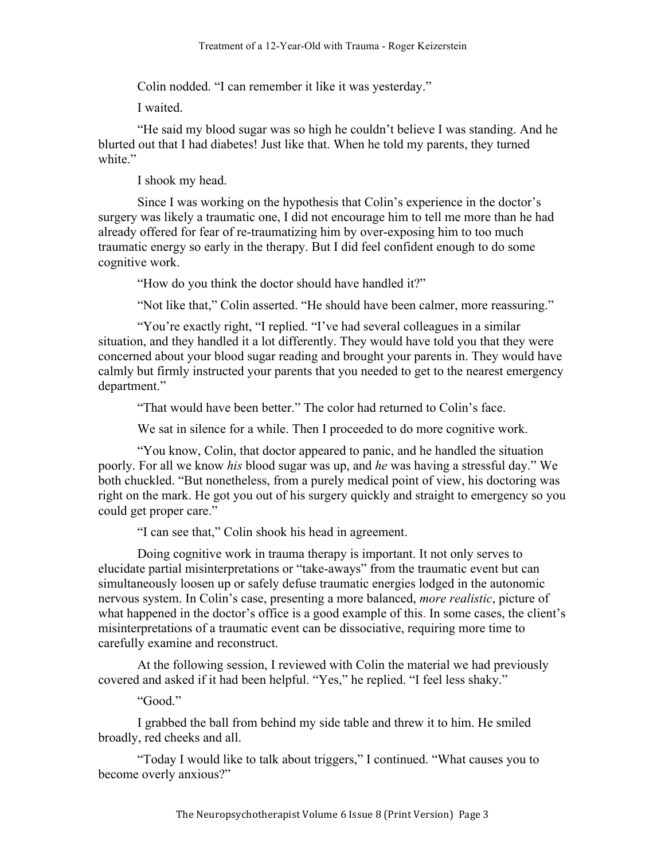Colin nodded. "I can remember it like it was yesterday."

I waited.

"He said my blood sugar was so high he couldn't believe I was standing. And he blurted out that I had diabetes! Just like that. When he told my parents, they turned white"

I shook my head.

Since I was working on the hypothesis that Colin's experience in the doctor's surgery was likely a traumatic one, I did not encourage him to tell me more than he had already offered for fear of re-traumatizing him by over-exposing him to too much traumatic energy so early in the therapy. But I did feel confident enough to do some cognitive work.

"How do you think the doctor should have handled it?"

"Not like that," Colin asserted. "He should have been calmer, more reassuring."

"You're exactly right, "I replied. "I've had several colleagues in a similar situation, and they handled it a lot differently. They would have told you that they were concerned about your blood sugar reading and brought your parents in. They would have calmly but firmly instructed your parents that you needed to get to the nearest emergency department."

"That would have been better." The color had returned to Colin's face.

We sat in silence for a while. Then I proceeded to do more cognitive work.

"You know, Colin, that doctor appeared to panic, and he handled the situation poorly. For all we know *his* blood sugar was up, and *he* was having a stressful day." We both chuckled. "But nonetheless, from a purely medical point of view, his doctoring was right on the mark. He got you out of his surgery quickly and straight to emergency so you could get proper care."

"I can see that," Colin shook his head in agreement.

Doing cognitive work in trauma therapy is important. It not only serves to elucidate partial misinterpretations or "take-aways" from the traumatic event but can simultaneously loosen up or safely defuse traumatic energies lodged in the autonomic nervous system. In Colin's case, presenting a more balanced, *more realistic*, picture of what happened in the doctor's office is a good example of this. In some cases, the client's misinterpretations of a traumatic event can be dissociative, requiring more time to carefully examine and reconstruct.

At the following session, I reviewed with Colin the material we had previously covered and asked if it had been helpful. "Yes," he replied. "I feel less shaky."

"Good"

I grabbed the ball from behind my side table and threw it to him. He smiled broadly, red cheeks and all.

"Today I would like to talk about triggers," I continued. "What causes you to become overly anxious?"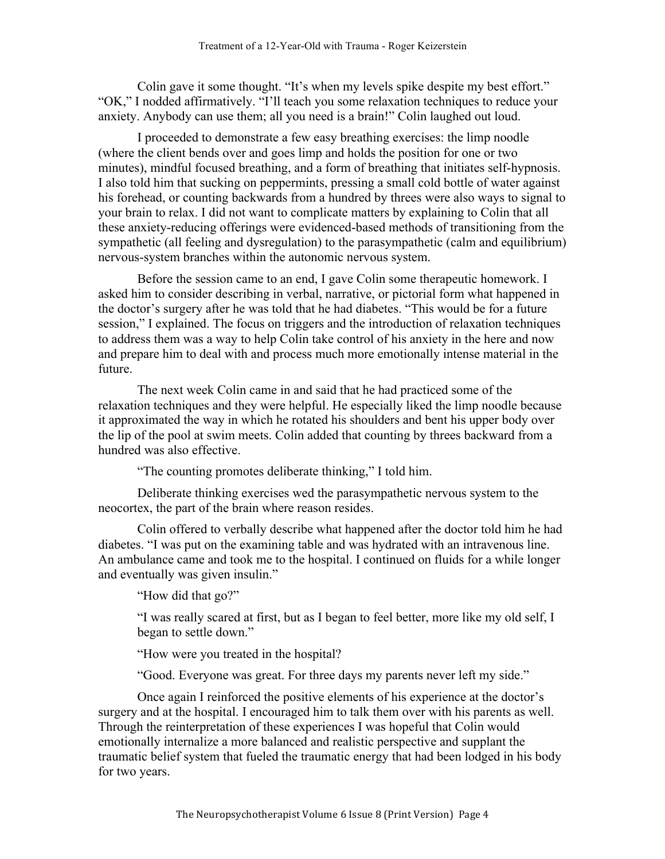Colin gave it some thought. "It's when my levels spike despite my best effort." "OK," I nodded affirmatively. "I'll teach you some relaxation techniques to reduce your anxiety. Anybody can use them; all you need is a brain!" Colin laughed out loud.

I proceeded to demonstrate a few easy breathing exercises: the limp noodle (where the client bends over and goes limp and holds the position for one or two minutes), mindful focused breathing, and a form of breathing that initiates self-hypnosis. I also told him that sucking on peppermints, pressing a small cold bottle of water against his forehead, or counting backwards from a hundred by threes were also ways to signal to your brain to relax. I did not want to complicate matters by explaining to Colin that all these anxiety-reducing offerings were evidenced-based methods of transitioning from the sympathetic (all feeling and dysregulation) to the parasympathetic (calm and equilibrium) nervous-system branches within the autonomic nervous system.

Before the session came to an end, I gave Colin some therapeutic homework. I asked him to consider describing in verbal, narrative, or pictorial form what happened in the doctor's surgery after he was told that he had diabetes. "This would be for a future session," I explained. The focus on triggers and the introduction of relaxation techniques to address them was a way to help Colin take control of his anxiety in the here and now and prepare him to deal with and process much more emotionally intense material in the future.

The next week Colin came in and said that he had practiced some of the relaxation techniques and they were helpful. He especially liked the limp noodle because it approximated the way in which he rotated his shoulders and bent his upper body over the lip of the pool at swim meets. Colin added that counting by threes backward from a hundred was also effective.

"The counting promotes deliberate thinking," I told him.

Deliberate thinking exercises wed the parasympathetic nervous system to the neocortex, the part of the brain where reason resides.

Colin offered to verbally describe what happened after the doctor told him he had diabetes. "I was put on the examining table and was hydrated with an intravenous line. An ambulance came and took me to the hospital. I continued on fluids for a while longer and eventually was given insulin."

"How did that go?"

"I was really scared at first, but as I began to feel better, more like my old self, I began to settle down."

"How were you treated in the hospital?

"Good. Everyone was great. For three days my parents never left my side."

Once again I reinforced the positive elements of his experience at the doctor's surgery and at the hospital. I encouraged him to talk them over with his parents as well. Through the reinterpretation of these experiences I was hopeful that Colin would emotionally internalize a more balanced and realistic perspective and supplant the traumatic belief system that fueled the traumatic energy that had been lodged in his body for two years.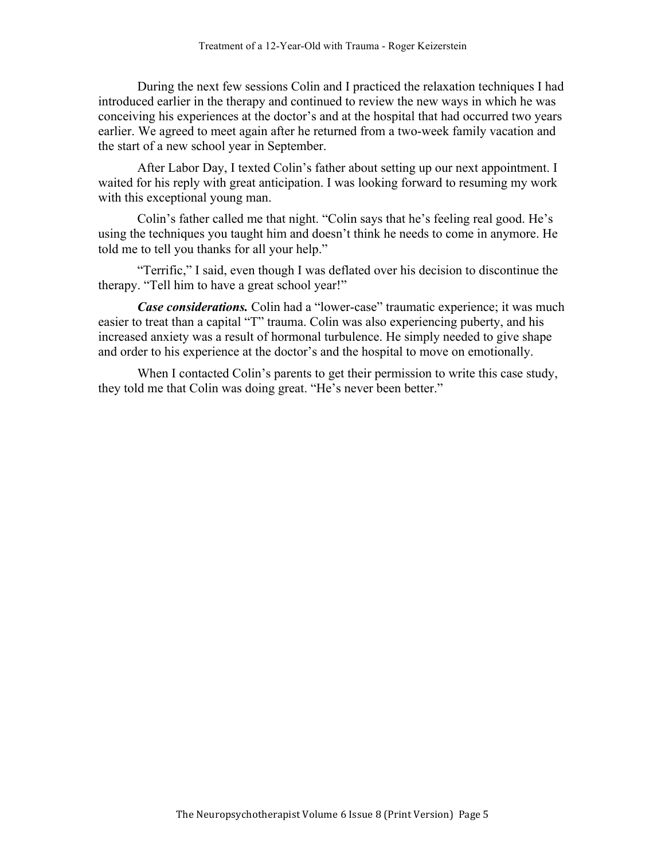During the next few sessions Colin and I practiced the relaxation techniques I had introduced earlier in the therapy and continued to review the new ways in which he was conceiving his experiences at the doctor's and at the hospital that had occurred two years earlier. We agreed to meet again after he returned from a two-week family vacation and the start of a new school year in September.

After Labor Day, I texted Colin's father about setting up our next appointment. I waited for his reply with great anticipation. I was looking forward to resuming my work with this exceptional young man.

Colin's father called me that night. "Colin says that he's feeling real good. He's using the techniques you taught him and doesn't think he needs to come in anymore. He told me to tell you thanks for all your help."

"Terrific," I said, even though I was deflated over his decision to discontinue the therapy. "Tell him to have a great school year!"

*Case considerations.* Colin had a "lower-case" traumatic experience; it was much easier to treat than a capital "T" trauma. Colin was also experiencing puberty, and his increased anxiety was a result of hormonal turbulence. He simply needed to give shape and order to his experience at the doctor's and the hospital to move on emotionally.

When I contacted Colin's parents to get their permission to write this case study, they told me that Colin was doing great. "He's never been better."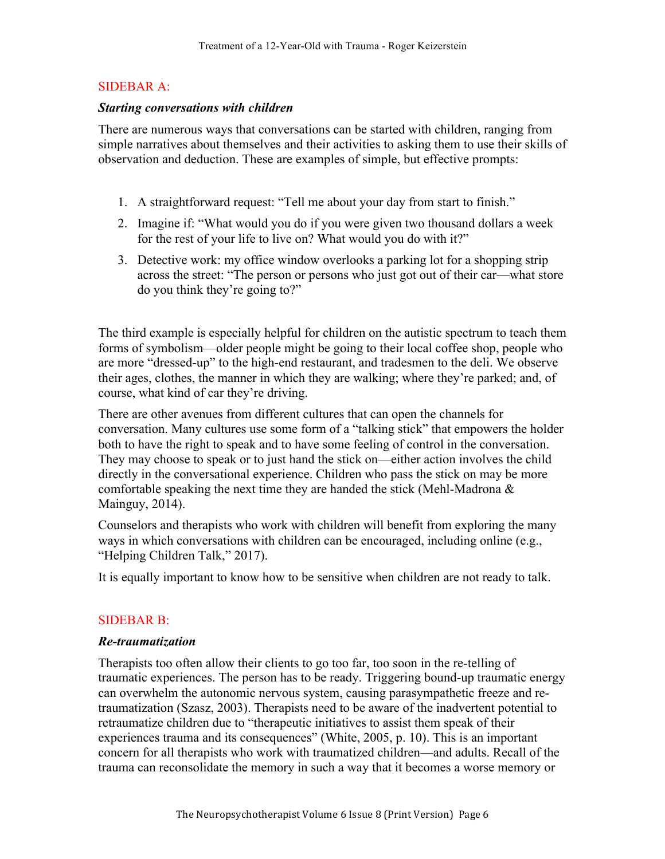# SIDEBAR A:

## *Starting conversations with children*

There are numerous ways that conversations can be started with children, ranging from simple narratives about themselves and their activities to asking them to use their skills of observation and deduction. These are examples of simple, but effective prompts:

- 1. A straightforward request: "Tell me about your day from start to finish."
- 2. Imagine if: "What would you do if you were given two thousand dollars a week for the rest of your life to live on? What would you do with it?"
- 3. Detective work: my office window overlooks a parking lot for a shopping strip across the street: "The person or persons who just got out of their car—what store do you think they're going to?"

The third example is especially helpful for children on the autistic spectrum to teach them forms of symbolism—older people might be going to their local coffee shop, people who are more "dressed-up" to the high-end restaurant, and tradesmen to the deli. We observe their ages, clothes, the manner in which they are walking; where they're parked; and, of course, what kind of car they're driving.

There are other avenues from different cultures that can open the channels for conversation. Many cultures use some form of a "talking stick" that empowers the holder both to have the right to speak and to have some feeling of control in the conversation. They may choose to speak or to just hand the stick on—either action involves the child directly in the conversational experience. Children who pass the stick on may be more comfortable speaking the next time they are handed the stick (Mehl-Madrona & Mainguy, 2014).

Counselors and therapists who work with children will benefit from exploring the many ways in which conversations with children can be encouraged, including online (e.g., "Helping Children Talk," 2017).

It is equally important to know how to be sensitive when children are not ready to talk.

## SIDEBAR B:

## *Re-traumatization*

Therapists too often allow their clients to go too far, too soon in the re-telling of traumatic experiences. The person has to be ready. Triggering bound-up traumatic energy can overwhelm the autonomic nervous system, causing parasympathetic freeze and retraumatization (Szasz, 2003). Therapists need to be aware of the inadvertent potential to retraumatize children due to "therapeutic initiatives to assist them speak of their experiences trauma and its consequences" (White, 2005, p. 10). This is an important concern for all therapists who work with traumatized children—and adults. Recall of the trauma can reconsolidate the memory in such a way that it becomes a worse memory or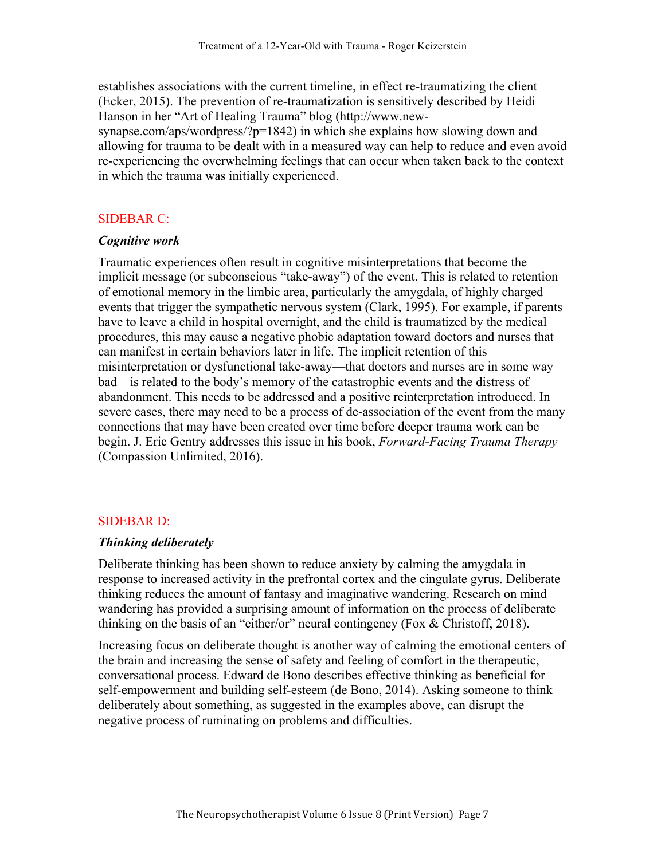establishes associations with the current timeline, in effect re-traumatizing the client (Ecker, 2015). The prevention of re-traumatization is sensitively described by Heidi Hanson in her "Art of Healing Trauma" blog (http://www.newsynapse.com/aps/wordpress/?p=1842) in which she explains how slowing down and allowing for trauma to be dealt with in a measured way can help to reduce and even avoid re-experiencing the overwhelming feelings that can occur when taken back to the context in which the trauma was initially experienced.

#### SIDEBAR C:

#### *Cognitive work*

Traumatic experiences often result in cognitive misinterpretations that become the implicit message (or subconscious "take-away") of the event. This is related to retention of emotional memory in the limbic area, particularly the amygdala, of highly charged events that trigger the sympathetic nervous system (Clark, 1995). For example, if parents have to leave a child in hospital overnight, and the child is traumatized by the medical procedures, this may cause a negative phobic adaptation toward doctors and nurses that can manifest in certain behaviors later in life. The implicit retention of this misinterpretation or dysfunctional take-away—that doctors and nurses are in some way bad—is related to the body's memory of the catastrophic events and the distress of abandonment. This needs to be addressed and a positive reinterpretation introduced. In severe cases, there may need to be a process of de-association of the event from the many connections that may have been created over time before deeper trauma work can be begin. J. Eric Gentry addresses this issue in his book, *Forward-Facing Trauma Therapy* (Compassion Unlimited, 2016).

### SIDEBAR D:

#### *Thinking deliberately*

Deliberate thinking has been shown to reduce anxiety by calming the amygdala in response to increased activity in the prefrontal cortex and the cingulate gyrus. Deliberate thinking reduces the amount of fantasy and imaginative wandering. Research on mind wandering has provided a surprising amount of information on the process of deliberate thinking on the basis of an "either/or" neural contingency (Fox & Christoff, 2018).

Increasing focus on deliberate thought is another way of calming the emotional centers of the brain and increasing the sense of safety and feeling of comfort in the therapeutic, conversational process. Edward de Bono describes effective thinking as beneficial for self-empowerment and building self-esteem (de Bono, 2014). Asking someone to think deliberately about something, as suggested in the examples above, can disrupt the negative process of ruminating on problems and difficulties.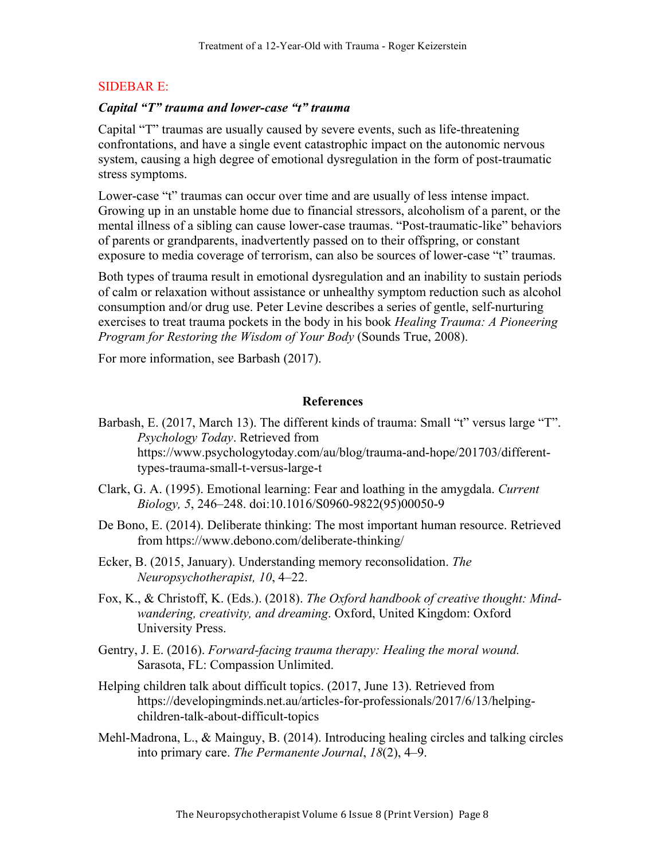## SIDEBAR E:

# *Capital "T" trauma and lower-case "t" trauma*

Capital "T" traumas are usually caused by severe events, such as life-threatening confrontations, and have a single event catastrophic impact on the autonomic nervous system, causing a high degree of emotional dysregulation in the form of post-traumatic stress symptoms.

Lower-case "t" traumas can occur over time and are usually of less intense impact. Growing up in an unstable home due to financial stressors, alcoholism of a parent, or the mental illness of a sibling can cause lower-case traumas. "Post-traumatic-like" behaviors of parents or grandparents, inadvertently passed on to their offspring, or constant exposure to media coverage of terrorism, can also be sources of lower-case "t" traumas.

Both types of trauma result in emotional dysregulation and an inability to sustain periods of calm or relaxation without assistance or unhealthy symptom reduction such as alcohol consumption and/or drug use. Peter Levine describes a series of gentle, self-nurturing exercises to treat trauma pockets in the body in his book *Healing Trauma: A Pioneering Program for Restoring the Wisdom of Your Body* (Sounds True, 2008).

For more information, see Barbash (2017).

## **References**

- Barbash, E. (2017, March 13). The different kinds of trauma: Small "t" versus large "T". *Psychology Today*. Retrieved from https://www.psychologytoday.com/au/blog/trauma-and-hope/201703/differenttypes-trauma-small-t-versus-large-t
- Clark, G. A. (1995). Emotional learning: Fear and loathing in the amygdala. *Current Biology, 5*, 246–248. doi:10.1016/S0960-9822(95)00050-9
- De Bono, E. (2014). Deliberate thinking: The most important human resource. Retrieved from https://www.debono.com/deliberate-thinking/
- Ecker, B. (2015, January). Understanding memory reconsolidation. *The Neuropsychotherapist, 10*, 4–22.
- Fox, K., & Christoff, K. (Eds.). (2018). *The Oxford handbook of creative thought: Mindwandering, creativity, and dreaming*. Oxford, United Kingdom: Oxford University Press.
- Gentry, J. E. (2016). *Forward-facing trauma therapy: Healing the moral wound.* Sarasota, FL: Compassion Unlimited.
- Helping children talk about difficult topics. (2017, June 13). Retrieved from https://developingminds.net.au/articles-for-professionals/2017/6/13/helpingchildren-talk-about-difficult-topics
- Mehl-Madrona, L., & Mainguy, B. (2014). Introducing healing circles and talking circles into primary care. *The Permanente Journal*, *18*(2), 4–9.